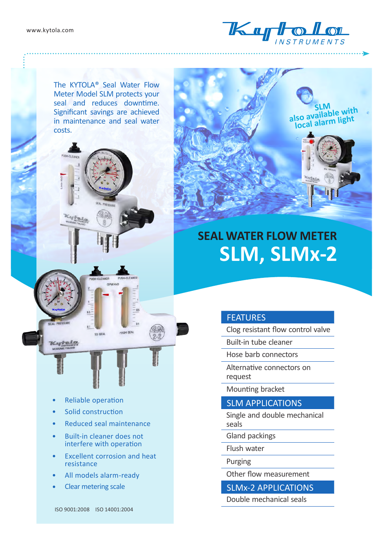

The KYTOLA® Seal Water Flow Meter Model SLM protects your seal and reduces downtime. Significant savings are achieved in maintenance and seal water costs.





- Reliable operation
- Solid construction
- Reduced seal maintenance
- Built-in cleaner does not interfere with operation
- Excellent corrosion and heat resistance
- All models alarm-ready
- Clear metering scale





# **SEAL WATER FLOW METER SLM, SLMx-2**

#### **FEATURES**

Clog resistant flow control valve

Built-in tube cleaner

Hose barb connectors

Alternative connectors on request

Mounting bracket

SLM APPLICATIONS

Single and double mechanical seals

Gland packings

Flush water

Purging

Other flow measurement

SLMx-2 APPLICATIONS

Double mechanical seals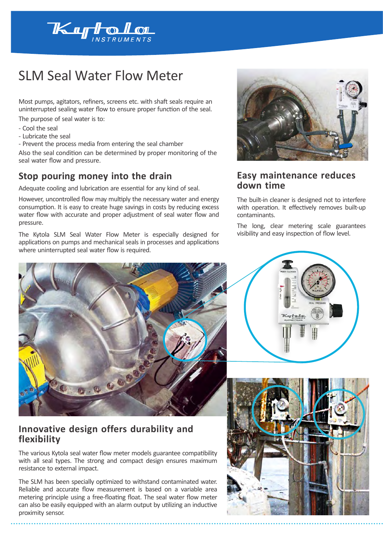

## SLM Seal Water Flow Meter

Most pumps, agitators, refiners, screens etc. with shaft seals require an uninterrupted sealing water flow to ensure proper function of the seal.

The purpose of seal water is to:

- Cool the seal
- Lubricate the seal
- Prevent the process media from entering the seal chamber

Also the seal condition can be determined by proper monitoring of the seal water flow and pressure.

#### **Stop pouring money into the drain**

Adequate cooling and lubrication are essential for any kind of seal.

However, uncontrolled flow may multiply the necessary water and energy consumption. It is easy to create huge savings in costs by reducing excess water flow with accurate and proper adjustment of seal water flow and pressure.

The Kytola SLM Seal Water Flow Meter is especially designed for applications on pumps and mechanical seals in processes and applications where uninterrupted seal water flow is required.



#### **Innovative design offers durability and flexibility**

The various Kytola seal water flow meter models guarantee compatibility with all seal types. The strong and compact design ensures maximum resistance to external impact.

The SLM has been specially optimized to withstand contaminated water. Reliable and accurate flow measurement is based on a variable area metering principle using a free-floating float. The seal water flow meter can also be easily equipped with an alarm output by utilizing an inductive proximity sensor.



### **Easy maintenance reduces down time**

The built-in cleaner is designed not to interfere with operation. It effectively removes built-up contaminants.

The long, clear metering scale guarantees visibility and easy inspection of flow level.



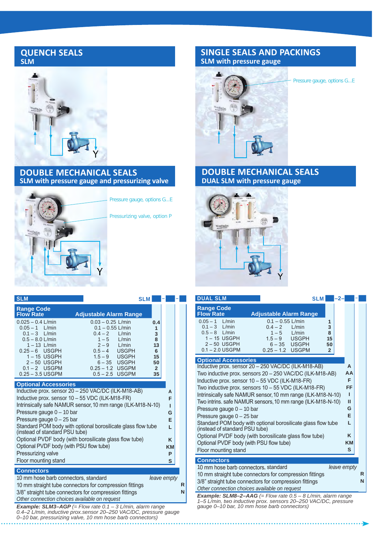#### **QUENCH SEALS SLM**



#### **DOUBLE MECHANICAL SEALS SLM with pressure gauge and pressurizing valve**

**SLM SLM – –**



Pressure gauge, options G...E

Pressurizing valve, option P

**Contract** 

#### **SINGLE SEALS AND PACKINGS SLM with pressure gauge**



Pressure gauge, options G...E

#### **DOUBLE MECHANICAL SEALS DUAL SLM with pressure gauge**



| <b>DUAL SLM</b>                                                                                                            |                                       |                        | <b>SLM</b>           | -2          |          |  |
|----------------------------------------------------------------------------------------------------------------------------|---------------------------------------|------------------------|----------------------|-------------|----------|--|
| <b>Range Code</b><br><b>Flow Rate</b>                                                                                      | <b>Adjustable Alarm Range</b>         |                        |                      |             |          |  |
| $0.05 - 1$ L/min<br>$0.1 - 3$ L/min                                                                                        | $0.1 - 0.55$ L/min<br>$0.4 - 2$ L/min |                        | 1<br>3               |             |          |  |
| $0.5 - 8$ L/min<br>1-15 USGPH                                                                                              | $1 - 5$                               | L/min<br>$1.5-9$ USGPH | 8<br>15              |             |          |  |
| $2 - 50$ USGPH<br>$0.1 - 2.0$ USGPM                                                                                        | $0.25 - 1.2$ USGPM                    | $6-35$ USGPH           | 50<br>$\overline{2}$ |             |          |  |
| <b>Optional Accessories</b>                                                                                                |                                       |                        |                      |             |          |  |
| Inductive prox. sensor 20 - 250 VAC/DC (ILK-M18-AB)                                                                        |                                       |                        |                      |             | A        |  |
| Two inductive prox. sensors 20 - 250 VAC/DC (ILK-M18-AB)                                                                   |                                       |                        |                      |             | AA       |  |
| Inductive prox. sensor 10 - 55 VDC (ILK-M18-FR)                                                                            |                                       |                        |                      |             | F.<br>FF |  |
| Two inductive prox. sensors 10 - 55 VDC (ILK-M18-FR)                                                                       |                                       |                        |                      |             | ı        |  |
| Intrinsically safe NAMUR sensor, 10 mm range (ILK-M18-N-10)<br>Two intrins. safe NAMUR sensors, 10 mm range (ILK-M18-N-10) |                                       |                        |                      |             | Ш        |  |
| Pressure gauge 0 - 10 bar                                                                                                  |                                       |                        |                      |             | G        |  |
| Pressure gauge 0 - 25 bar                                                                                                  |                                       |                        |                      |             | F        |  |
| Standard POM body with optional borosilicate glass flow tube<br>(instead of standard PSU tube)                             |                                       |                        |                      |             | L        |  |
| Optional PVDF body (with borosilicate glass flow tube)<br>K                                                                |                                       |                        |                      |             |          |  |
| Optional PVDF body (with PSU flow tube)                                                                                    |                                       |                        |                      | KM          |          |  |
| Floor mounting stand                                                                                                       |                                       |                        |                      |             | S        |  |
| <b>Connectors</b>                                                                                                          |                                       |                        |                      |             |          |  |
| 10 mm hose barb connectors, standard                                                                                       |                                       |                        |                      | leave empty |          |  |
| 10 mm straight tube connectors for compression fittings                                                                    |                                       |                        |                      |             | R        |  |
| 3/8" straight tube connectors for compression fittings                                                                     |                                       |                        |                      |             | N        |  |
| Other connection choices available on request<br><b>Example: SLM8-2-AAG</b> (= Flow rate $0.5 - 8$ L/min, alarm range      |                                       |                        |                      |             |          |  |
|                                                                                                                            |                                       |                        |                      |             |          |  |

*Example: SLM8–2–AAG (= Flow rate 0.5 – 8 L/min, alarm range 1–5 L/min, two inductive prox. sensors 20–250 VAC/DC, pressure gauge 0–10 bar, 10 mm hose barb connectors)*

| <b>Range Code</b><br><b>Flow Rate</b>                                                         | <b>Adjustable Alarm Range</b>             |                     |   |  |  |  |
|-----------------------------------------------------------------------------------------------|-------------------------------------------|---------------------|---|--|--|--|
| $0.025 - 0.4$ L/min<br>$0.05 - 1$ L/min                                                       | $0.03 - 0.25$ L/min<br>$0.1 - 0.55$ L/min | 0.4<br>$\mathbf{1}$ |   |  |  |  |
| $0.1 - 3$ L/min                                                                               | $0.4 - 2$<br>L/min                        | 3                   |   |  |  |  |
| $0.5 - 8.0$ L/min<br>$1 - 13$ L/min                                                           | $1-5$ L/min<br>$2-9$ L/min                | 8<br>13             |   |  |  |  |
| $0.25 - 6$ USGPH                                                                              | $0.5 - 4$ USGPH                           | 6                   |   |  |  |  |
| 1-15 USGPH<br>$2 - 50$ USGPH                                                                  | $1.5-9$ USGPH<br>6-35 USGPH               | 15<br>50            |   |  |  |  |
| $0.1 - 2$ USGPM                                                                               | $0.25 - 1.2$ USGPM                        | $\overline{2}$      |   |  |  |  |
| $0.25 - 3.5$ USGPM                                                                            | $0.5 - 2.5$ USGPM                         | 35                  |   |  |  |  |
| <b>Optional Accessories</b>                                                                   |                                           |                     |   |  |  |  |
| Inductive prox. sensor 20 - 250 VAC/DC (ILK-M18-AB)<br>A                                      |                                           |                     |   |  |  |  |
| Inductive prox. sensor 10 - 55 VDC (ILK-M18-FR)<br>F<br>ı                                     |                                           |                     |   |  |  |  |
| Intrinsically safe NAMUR sensor, 10 mm range (ILK-M18-N-10)<br>Pressure gauge 0 - 10 bar      |                                           |                     |   |  |  |  |
| G<br>Pressure gauge $0 - 25$ bar<br>Е                                                         |                                           |                     |   |  |  |  |
| Standard POM body with optional borosilicate glass flow tube<br>L                             |                                           |                     |   |  |  |  |
| (instead of standard PSU tube)<br>Optional PVDF body (with borosilicate glass flow tube)<br>K |                                           |                     |   |  |  |  |
| Optional PVDF body (with PSU flow tube)<br>KM                                                 |                                           |                     |   |  |  |  |
| Pressurizing valve                                                                            |                                           |                     | P |  |  |  |
| Floor mounting stand                                                                          |                                           |                     | S |  |  |  |
| <b>Connectors</b>                                                                             |                                           |                     |   |  |  |  |
| 10 mm hose barb connectors, standard<br>leave empty                                           |                                           |                     |   |  |  |  |
| 10 mm straight tube connectors for compression fittings<br>R                                  |                                           |                     |   |  |  |  |

*Example: SLM3–AGP (= Flow rate 0.1 – 3 L/min, alarm range 0.4–2 L/min, inductive prox.sensor 20–250 VAC/DC, pressure gauge 0–10 bar, pressurizing valve, 10 mm hose barb connectors)*

*Other connection choices available on request*

3/8" straight tube connectors for compression fittings **N**